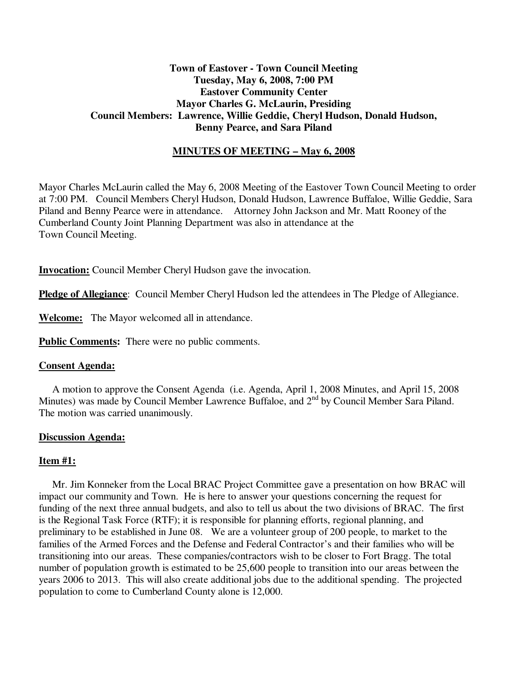# **Town of Eastover - Town Council Meeting Tuesday, May 6, 2008, 7:00 PM Eastover Community Center Mayor Charles G. McLaurin, Presiding Council Members: Lawrence, Willie Geddie, Cheryl Hudson, Donald Hudson, Benny Pearce, and Sara Piland**

# **MINUTES OF MEETING – May 6, 2008**

Mayor Charles McLaurin called the May 6, 2008 Meeting of the Eastover Town Council Meeting to order at 7:00 PM. Council Members Cheryl Hudson, Donald Hudson, Lawrence Buffaloe, Willie Geddie, Sara Piland and Benny Pearce were in attendance. Attorney John Jackson and Mr. Matt Rooney of the Cumberland County Joint Planning Department was also in attendance at the Town Council Meeting.

**Invocation:** Council Member Cheryl Hudson gave the invocation.

**Pledge of Allegiance**: Council Member Cheryl Hudson led the attendees in The Pledge of Allegiance.

**Welcome:** The Mayor welcomed all in attendance.

**Public Comments:** There were no public comments.

## **Consent Agenda:**

 A motion to approve the Consent Agenda (i.e. Agenda, April 1, 2008 Minutes, and April 15, 2008 Minutes) was made by Council Member Lawrence Buffaloe, and 2<sup>nd</sup> by Council Member Sara Piland. The motion was carried unanimously.

## **Discussion Agenda:**

## **Item #1:**

 Mr. Jim Konneker from the Local BRAC Project Committee gave a presentation on how BRAC will impact our community and Town. He is here to answer your questions concerning the request for funding of the next three annual budgets, and also to tell us about the two divisions of BRAC. The first is the Regional Task Force (RTF); it is responsible for planning efforts, regional planning, and preliminary to be established in June 08. We are a volunteer group of 200 people, to market to the families of the Armed Forces and the Defense and Federal Contractor's and their families who will be transitioning into our areas. These companies/contractors wish to be closer to Fort Bragg. The total number of population growth is estimated to be 25,600 people to transition into our areas between the years 2006 to 2013. This will also create additional jobs due to the additional spending. The projected population to come to Cumberland County alone is 12,000.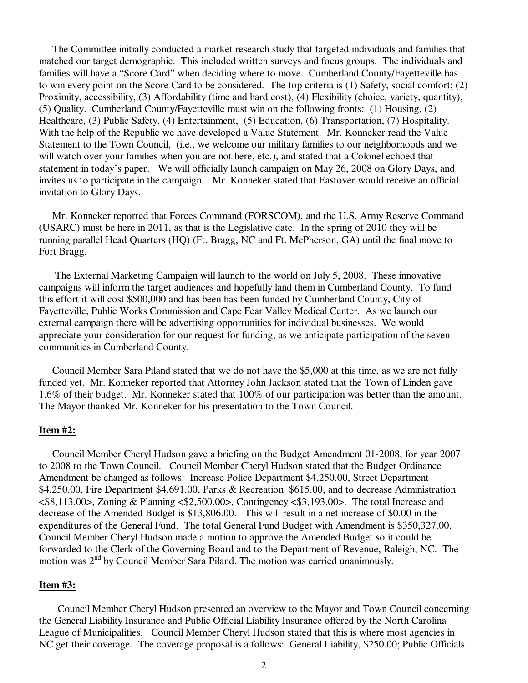The Committee initially conducted a market research study that targeted individuals and families that matched our target demographic. This included written surveys and focus groups. The individuals and families will have a "Score Card" when deciding where to move. Cumberland County/Fayetteville has to win every point on the Score Card to be considered. The top criteria is (1) Safety, social comfort; (2) Proximity, accessibility, (3) Affordability (time and hard cost), (4) Flexibility (choice, variety, quantity), (5) Quality. Cumberland County/Fayetteville must win on the following fronts: (1) Housing, (2) Healthcare, (3) Public Safety, (4) Entertainment, (5) Education, (6) Transportation, (7) Hospitality. With the help of the Republic we have developed a Value Statement. Mr. Konneker read the Value Statement to the Town Council, (i.e., we welcome our military families to our neighborhoods and we will watch over your families when you are not here, etc.), and stated that a Colonel echoed that statement in today's paper. We will officially launch campaign on May 26, 2008 on Glory Days, and invites us to participate in the campaign. Mr. Konneker stated that Eastover would receive an official invitation to Glory Days.

 Mr. Konneker reported that Forces Command (FORSCOM), and the U.S. Army Reserve Command (USARC) must be here in 2011, as that is the Legislative date. In the spring of 2010 they will be running parallel Head Quarters (HQ) (Ft. Bragg, NC and Ft. McPherson, GA) until the final move to Fort Bragg.

 The External Marketing Campaign will launch to the world on July 5, 2008. These innovative campaigns will inform the target audiences and hopefully land them in Cumberland County. To fund this effort it will cost \$500,000 and has been has been funded by Cumberland County, City of Fayetteville, Public Works Commission and Cape Fear Valley Medical Center. As we launch our external campaign there will be advertising opportunities for individual businesses. We would appreciate your consideration for our request for funding, as we anticipate participation of the seven communities in Cumberland County.

 Council Member Sara Piland stated that we do not have the \$5,000 at this time, as we are not fully funded yet. Mr. Konneker reported that Attorney John Jackson stated that the Town of Linden gave 1.6% of their budget. Mr. Konneker stated that 100% of our participation was better than the amount. The Mayor thanked Mr. Konneker for his presentation to the Town Council.

#### **Item #2:**

 Council Member Cheryl Hudson gave a briefing on the Budget Amendment 01-2008, for year 2007 to 2008 to the Town Council. Council Member Cheryl Hudson stated that the Budget Ordinance Amendment be changed as follows: Increase Police Department \$4,250.00, Street Department \$4,250.00, Fire Department \$4,691.00, Parks & Recreation \$615.00, and to decrease Administration <\$8,113.00>, Zoning & Planning <\$2,500.00>, Contingency <\$3,193.00>. The total Increase and decrease of the Amended Budget is \$13,806.00. This will result in a net increase of \$0.00 in the expenditures of the General Fund. The total General Fund Budget with Amendment is \$350,327.00. Council Member Cheryl Hudson made a motion to approve the Amended Budget so it could be forwarded to the Clerk of the Governing Board and to the Department of Revenue, Raleigh, NC. The motion was 2nd by Council Member Sara Piland. The motion was carried unanimously.

### **Item #3:**

 Council Member Cheryl Hudson presented an overview to the Mayor and Town Council concerning the General Liability Insurance and Public Official Liability Insurance offered by the North Carolina League of Municipalities. Council Member Cheryl Hudson stated that this is where most agencies in NC get their coverage. The coverage proposal is a follows: General Liability, \$250.00; Public Officials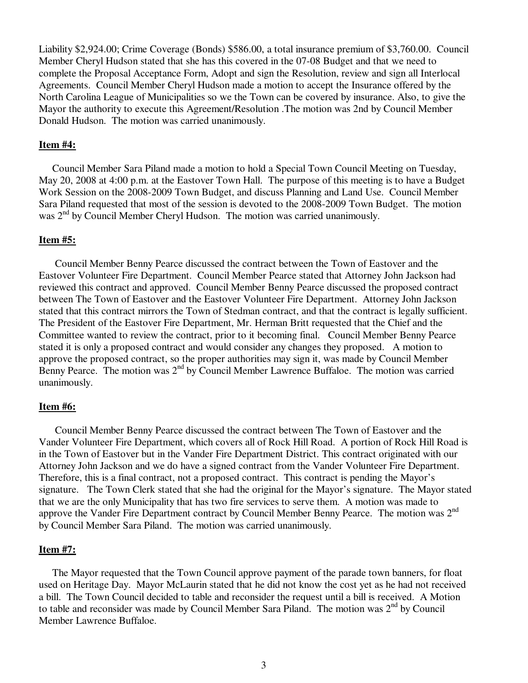Liability \$2,924.00; Crime Coverage (Bonds) \$586.00, a total insurance premium of \$3,760.00. Council Member Cheryl Hudson stated that she has this covered in the 07-08 Budget and that we need to complete the Proposal Acceptance Form, Adopt and sign the Resolution, review and sign all Interlocal Agreements. Council Member Cheryl Hudson made a motion to accept the Insurance offered by the North Carolina League of Municipalities so we the Town can be covered by insurance. Also, to give the Mayor the authority to execute this Agreement/Resolution .The motion was 2nd by Council Member Donald Hudson. The motion was carried unanimously.

#### **Item #4:**

Council Member Sara Piland made a motion to hold a Special Town Council Meeting on Tuesday, May 20, 2008 at 4:00 p.m. at the Eastover Town Hall. The purpose of this meeting is to have a Budget Work Session on the 2008-2009 Town Budget, and discuss Planning and Land Use. Council Member Sara Piland requested that most of the session is devoted to the 2008-2009 Town Budget. The motion was 2<sup>nd</sup> by Council Member Cheryl Hudson. The motion was carried unanimously.

#### **Item #5:**

 Council Member Benny Pearce discussed the contract between the Town of Eastover and the Eastover Volunteer Fire Department. Council Member Pearce stated that Attorney John Jackson had reviewed this contract and approved. Council Member Benny Pearce discussed the proposed contract between The Town of Eastover and the Eastover Volunteer Fire Department. Attorney John Jackson stated that this contract mirrors the Town of Stedman contract, and that the contract is legally sufficient. The President of the Eastover Fire Department, Mr. Herman Britt requested that the Chief and the Committee wanted to review the contract, prior to it becoming final. Council Member Benny Pearce stated it is only a proposed contract and would consider any changes they proposed. A motion to approve the proposed contract, so the proper authorities may sign it, was made by Council Member Benny Pearce. The motion was  $2<sup>nd</sup>$  by Council Member Lawrence Buffaloe. The motion was carried unanimously.

#### **Item #6:**

 Council Member Benny Pearce discussed the contract between The Town of Eastover and the Vander Volunteer Fire Department, which covers all of Rock Hill Road. A portion of Rock Hill Road is in the Town of Eastover but in the Vander Fire Department District. This contract originated with our Attorney John Jackson and we do have a signed contract from the Vander Volunteer Fire Department. Therefore, this is a final contract, not a proposed contract. This contract is pending the Mayor's signature. The Town Clerk stated that she had the original for the Mayor's signature. The Mayor stated that we are the only Municipality that has two fire services to serve them. A motion was made to approve the Vander Fire Department contract by Council Member Benny Pearce. The motion was 2<sup>nd</sup> by Council Member Sara Piland. The motion was carried unanimously.

#### **Item #7:**

 The Mayor requested that the Town Council approve payment of the parade town banners, for float used on Heritage Day. Mayor McLaurin stated that he did not know the cost yet as he had not received a bill. The Town Council decided to table and reconsider the request until a bill is received. A Motion to table and reconsider was made by Council Member Sara Piland. The motion was  $2<sup>nd</sup>$  by Council Member Lawrence Buffaloe.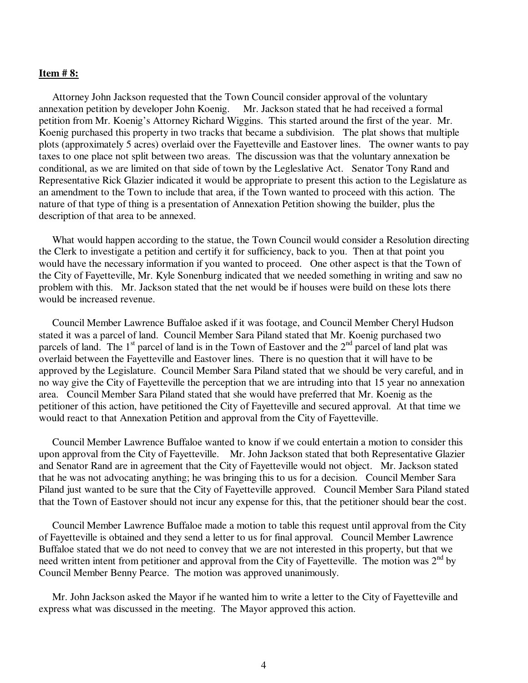#### **Item # 8:**

 Attorney John Jackson requested that the Town Council consider approval of the voluntary annexation petition by developer John Koenig. Mr. Jackson stated that he had received a formal petition from Mr. Koenig's Attorney Richard Wiggins. This started around the first of the year. Mr. Koenig purchased this property in two tracks that became a subdivision. The plat shows that multiple plots (approximately 5 acres) overlaid over the Fayetteville and Eastover lines. The owner wants to pay taxes to one place not split between two areas. The discussion was that the voluntary annexation be conditional, as we are limited on that side of town by the Legleslative Act. Senator Tony Rand and Representative Rick Glazier indicated it would be appropriate to present this action to the Legislature as an amendment to the Town to include that area, if the Town wanted to proceed with this action. The nature of that type of thing is a presentation of Annexation Petition showing the builder, plus the description of that area to be annexed.

 What would happen according to the statue, the Town Council would consider a Resolution directing the Clerk to investigate a petition and certify it for sufficiency, back to you. Then at that point you would have the necessary information if you wanted to proceed. One other aspect is that the Town of the City of Fayetteville, Mr. Kyle Sonenburg indicated that we needed something in writing and saw no problem with this. Mr. Jackson stated that the net would be if houses were build on these lots there would be increased revenue.

 Council Member Lawrence Buffaloe asked if it was footage, and Council Member Cheryl Hudson stated it was a parcel of land. Council Member Sara Piland stated that Mr. Koenig purchased two parcels of land. The 1<sup>st</sup> parcel of land is in the Town of Eastover and the  $2<sup>nd</sup>$  parcel of land plat was overlaid between the Fayetteville and Eastover lines. There is no question that it will have to be approved by the Legislature. Council Member Sara Piland stated that we should be very careful, and in no way give the City of Fayetteville the perception that we are intruding into that 15 year no annexation area. Council Member Sara Piland stated that she would have preferred that Mr. Koenig as the petitioner of this action, have petitioned the City of Fayetteville and secured approval. At that time we would react to that Annexation Petition and approval from the City of Fayetteville.

 Council Member Lawrence Buffaloe wanted to know if we could entertain a motion to consider this upon approval from the City of Fayetteville. Mr. John Jackson stated that both Representative Glazier and Senator Rand are in agreement that the City of Fayetteville would not object. Mr. Jackson stated that he was not advocating anything; he was bringing this to us for a decision. Council Member Sara Piland just wanted to be sure that the City of Fayetteville approved. Council Member Sara Piland stated that the Town of Eastover should not incur any expense for this, that the petitioner should bear the cost.

 Council Member Lawrence Buffaloe made a motion to table this request until approval from the City of Fayetteville is obtained and they send a letter to us for final approval. Council Member Lawrence Buffaloe stated that we do not need to convey that we are not interested in this property, but that we need written intent from petitioner and approval from the City of Fayetteville. The motion was  $2<sup>nd</sup>$  by Council Member Benny Pearce. The motion was approved unanimously.

 Mr. John Jackson asked the Mayor if he wanted him to write a letter to the City of Fayetteville and express what was discussed in the meeting. The Mayor approved this action.